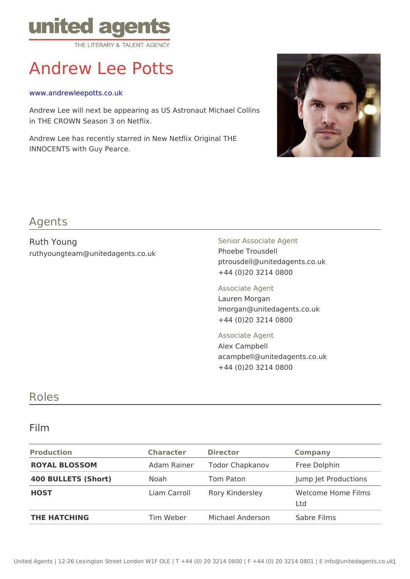# Andrew Lee Potts

#### [www.andrewleepott](http://www.andrewleepotts.co.uk)s.co.uk

Andrew Lee will next be appearing as US Astronaut Michael Collins in THE CROWN Season 3 on Netflix.

Andrew Lee has recently starred in New Netflix Original THE INNOCENTS with Guy Pearce.

### Agents

| Ruth Young<br>ruthyoungteam@unitedagents.co.uk | Senior Associate Agent<br>Phoebe Trousdell<br>ptrousdell@unitedagents.co.uk<br>+44 (0)20 3214 0800 |  |
|------------------------------------------------|----------------------------------------------------------------------------------------------------|--|
|                                                | Associate Agent<br>Lauren Morgan<br>Imorgan@unitedagents.co.uk<br>+44 (0)20 3214 0800              |  |
|                                                | Associate Agent<br>Alex Campbell<br>acampbell@unitedagents.co.uk<br>$+44$ (0)20 3214 0800          |  |

### Roles

#### Film

| Production          | Character Director |                                         | Company                   |
|---------------------|--------------------|-----------------------------------------|---------------------------|
| ROYAL BLOSSOM       |                    | Adam RainerTodor Chapkanov Free Dolphin |                           |
| 400 BULLETS (Short) | Noah               | Tom Paton                               | Jump Jet Productions      |
| HOST                |                    | Liam CarrollRory Kindersley             | Welcome Home Films<br>Ltd |
| THE HATCHING        |                    | Tim Weber Michael Anderson Sabre Films  |                           |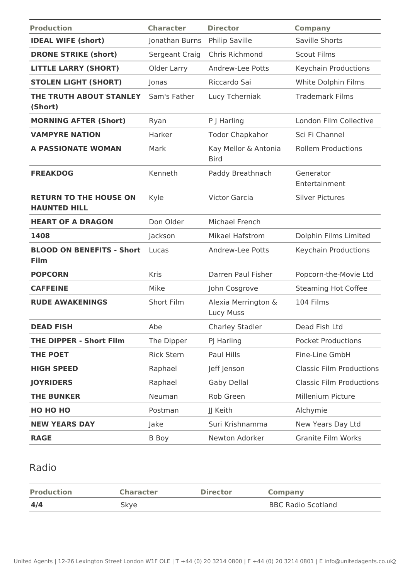| <b>Production</b>                                    | <b>Character</b>  | <b>Director</b>                     | <b>Company</b>                  |
|------------------------------------------------------|-------------------|-------------------------------------|---------------------------------|
| <b>IDEAL WIFE (short)</b>                            | Jonathan Burns    | Philip Saville                      | Saville Shorts                  |
| <b>DRONE STRIKE (short)</b>                          | Sergeant Craig    | Chris Richmond                      | <b>Scout Films</b>              |
| <b>LITTLE LARRY (SHORT)</b>                          | Older Larry       | Andrew-Lee Potts                    | Keychain Productions            |
| <b>STOLEN LIGHT (SHORT)</b>                          | Jonas             | Riccardo Sai                        | White Dolphin Films             |
| THE TRUTH ABOUT STANLEY<br>(Short)                   | Sam's Father      | Lucy Tcherniak                      | <b>Trademark Films</b>          |
| <b>MORNING AFTER (Short)</b>                         | Ryan              | P J Harling                         | London Film Collective          |
| <b>VAMPYRE NATION</b>                                | Harker            | <b>Todor Chapkahor</b>              | Sci Fi Channel                  |
| <b>A PASSIONATE WOMAN</b>                            | Mark              | Kay Mellor & Antonia<br><b>Bird</b> | <b>Rollem Productions</b>       |
| <b>FREAKDOG</b>                                      | Kenneth           | Paddy Breathnach                    | Generator<br>Entertainment      |
| <b>RETURN TO THE HOUSE ON</b><br><b>HAUNTED HILL</b> | Kyle              | <b>Victor Garcia</b>                | <b>Silver Pictures</b>          |
| <b>HEART OF A DRAGON</b>                             | Don Older         | Michael French                      |                                 |
| 1408                                                 | Jackson           | Mikael Hafstrom                     | Dolphin Films Limited           |
| <b>BLOOD ON BENEFITS - Short</b><br>Film             | Lucas             | Andrew-Lee Potts                    | Keychain Productions            |
| <b>POPCORN</b>                                       | Kris              | Darren Paul Fisher                  | Popcorn-the-Movie Ltd           |
| <b>CAFFEINE</b>                                      | Mike              | John Cosgrove                       | <b>Steaming Hot Coffee</b>      |
| <b>RUDE AWAKENINGS</b>                               | Short Film        | Alexia Merrington &<br>Lucy Muss    | 104 Films                       |
| <b>DEAD FISH</b>                                     | Abe               | <b>Charley Stadler</b>              | Dead Fish Ltd                   |
| <b>THE DIPPER - Short Film</b>                       | The Dipper        | PJ Harling                          | <b>Pocket Productions</b>       |
| <b>THE POET</b>                                      | <b>Rick Stern</b> | Paul Hills                          | Fine-Line GmbH                  |
| <b>HIGH SPEED</b>                                    | Raphael           | Jeff Jenson                         | <b>Classic Film Productions</b> |
| <b>JOYRIDERS</b>                                     | Raphael           | Gaby Dellal                         | <b>Classic Film Productions</b> |
| <b>THE BUNKER</b>                                    | Neuman            | Rob Green                           | Millenium Picture               |
| <b>НО НО НО</b>                                      | Postman           | JJ Keith                            | Alchymie                        |
| <b>NEW YEARS DAY</b>                                 | Jake              | Suri Krishnamma                     | New Years Day Ltd               |
| <b>RAGE</b>                                          | <b>B</b> Boy      | Newton Adorker                      | <b>Granite Film Works</b>       |

## Radio

| <b>Production</b> | <b>Character</b> | <b>Director</b> | <b>Company</b>            |
|-------------------|------------------|-----------------|---------------------------|
| 4/4               | Skye             |                 | <b>BBC Radio Scotland</b> |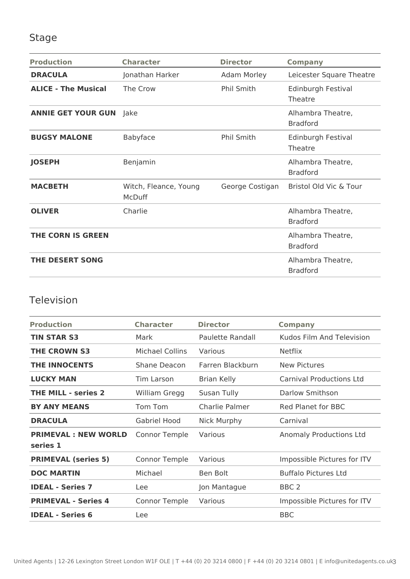## Stage

| <b>Production</b>          | <b>Character</b>                       | <b>Director</b>   | <b>Company</b>                       |
|----------------------------|----------------------------------------|-------------------|--------------------------------------|
| <b>DRACULA</b>             | Jonathan Harker                        | Adam Morley       | Leicester Square Theatre             |
| <b>ALICE - The Musical</b> | The Crow                               | Phil Smith        | Edinburgh Festival<br>Theatre        |
| <b>ANNIE GET YOUR GUN</b>  | <b>Jake</b>                            |                   | Alhambra Theatre,<br><b>Bradford</b> |
| <b>BUGSY MALONE</b>        | Babyface                               | <b>Phil Smith</b> | Edinburgh Festival<br>Theatre        |
| <b>JOSEPH</b>              | Benjamin                               |                   | Alhambra Theatre,<br><b>Bradford</b> |
| <b>MACBETH</b>             | Witch, Fleance, Young<br><b>McDuff</b> | George Costigan   | Bristol Old Vic & Tour               |
| <b>OLIVER</b>              | Charlie                                |                   | Alhambra Theatre,<br><b>Bradford</b> |
| <b>THE CORN IS GREEN</b>   |                                        |                   | Alhambra Theatre,<br><b>Bradford</b> |
| <b>THE DESERT SONG</b>     |                                        |                   | Alhambra Theatre,<br><b>Bradford</b> |

## Television

| <b>Production</b>                      | <b>Character</b>       | <b>Director</b>    | <b>Company</b>                  |
|----------------------------------------|------------------------|--------------------|---------------------------------|
| <b>TIN STAR S3</b>                     | Mark                   | Paulette Randall   | Kudos Film And Television       |
| <b>THE CROWN S3</b>                    | <b>Michael Collins</b> | Various            | <b>Netflix</b>                  |
| <b>THE INNOCENTS</b>                   | Shane Deacon           | Farren Blackburn   | <b>New Pictures</b>             |
| <b>LUCKY MAN</b>                       | Tim Larson             | <b>Brian Kelly</b> | <b>Carnival Productions Ltd</b> |
| <b>THE MILL - series 2</b>             | William Gregg          | Susan Tully        | Darlow Smithson                 |
| <b>BY ANY MEANS</b>                    | Tom Tom                | Charlie Palmer     | <b>Red Planet for BBC</b>       |
| <b>DRACULA</b>                         | Gabriel Hood           | Nick Murphy        | Carnival                        |
| <b>PRIMEVAL: NEW WORLD</b><br>series 1 | Connor Temple          | Various            | Anomaly Productions Ltd         |
| <b>PRIMEVAL (series 5)</b>             | <b>Connor Temple</b>   | Various            | Impossible Pictures for ITV     |
| <b>DOC MARTIN</b>                      | Michael                | Ben Bolt           | <b>Buffalo Pictures Ltd</b>     |
| <b>IDEAL - Series 7</b>                | Lee                    | Jon Mantague       | BBC <sub>2</sub>                |
| <b>PRIMEVAL - Series 4</b>             | <b>Connor Temple</b>   | Various            | Impossible Pictures for ITV     |
| <b>IDEAL - Series 6</b>                | Lee                    |                    | <b>BBC</b>                      |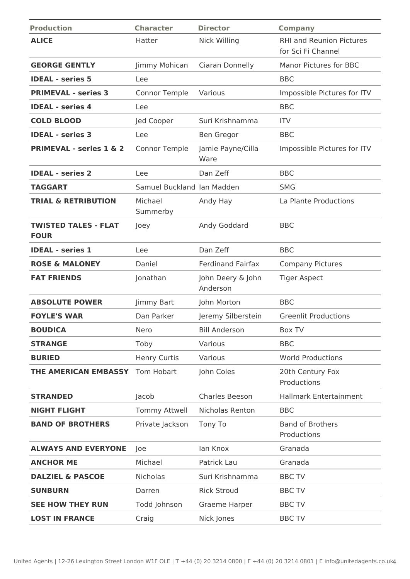| <b>Production</b>                          | <b>Character</b>           | <b>Director</b>               | <b>Company</b>                                        |
|--------------------------------------------|----------------------------|-------------------------------|-------------------------------------------------------|
| <b>ALICE</b>                               | Hatter                     | <b>Nick Willing</b>           | <b>RHI and Reunion Pictures</b><br>for Sci Fi Channel |
| <b>GEORGE GENTLY</b>                       | Jimmy Mohican              | Ciaran Donnelly               | <b>Manor Pictures for BBC</b>                         |
| <b>IDEAL - series 5</b>                    | Lee                        |                               | <b>BBC</b>                                            |
| <b>PRIMEVAL - series 3</b>                 | <b>Connor Temple</b>       | Various                       | Impossible Pictures for ITV                           |
| <b>IDEAL - series 4</b>                    | Lee                        |                               | <b>BBC</b>                                            |
| <b>COLD BLOOD</b>                          | Jed Cooper                 | Suri Krishnamma               | <b>ITV</b>                                            |
| <b>IDEAL - series 3</b>                    | Lee                        | Ben Gregor                    | <b>BBC</b>                                            |
| <b>PRIMEVAL - series 1 &amp; 2</b>         | <b>Connor Temple</b>       | Jamie Payne/Cilla<br>Ware     | Impossible Pictures for ITV                           |
| <b>IDEAL - series 2</b>                    | Lee                        | Dan Zeff                      | <b>BBC</b>                                            |
| <b>TAGGART</b>                             | Samuel Buckland Ian Madden |                               | <b>SMG</b>                                            |
| <b>TRIAL &amp; RETRIBUTION</b>             | Michael<br>Summerby        | Andy Hay                      | La Plante Productions                                 |
| <b>TWISTED TALES - FLAT</b><br><b>FOUR</b> | Joey                       | Andy Goddard                  | <b>BBC</b>                                            |
| <b>IDEAL - series 1</b>                    | Lee                        | Dan Zeff                      | <b>BBC</b>                                            |
| <b>ROSE &amp; MALONEY</b>                  | Daniel                     | <b>Ferdinand Fairfax</b>      | <b>Company Pictures</b>                               |
| <b>FAT FRIENDS</b>                         | Jonathan                   | John Deery & John<br>Anderson | <b>Tiger Aspect</b>                                   |
| <b>ABSOLUTE POWER</b>                      | Jimmy Bart                 | John Morton                   | <b>BBC</b>                                            |
| <b>FOYLE'S WAR</b>                         | Dan Parker                 | Jeremy Silberstein            | <b>Greenlit Productions</b>                           |
| <b>BOUDICA</b>                             | Nero                       | <b>Bill Anderson</b>          | Box TV                                                |
| <b>STRANGE</b>                             | Toby                       | Various                       | <b>BBC</b>                                            |
| <b>BURIED</b>                              | <b>Henry Curtis</b>        | Various                       | <b>World Productions</b>                              |
| THE AMERICAN EMBASSY                       | <b>Tom Hobart</b>          | John Coles                    | 20th Century Fox<br>Productions                       |
| <b>STRANDED</b>                            | Jacob                      | Charles Beeson                | <b>Hallmark Entertainment</b>                         |
| <b>NIGHT FLIGHT</b>                        | <b>Tommy Attwell</b>       | Nicholas Renton               | <b>BBC</b>                                            |
| <b>BAND OF BROTHERS</b>                    | Private Jackson            | Tony To                       | <b>Band of Brothers</b><br>Productions                |
| <b>ALWAYS AND EVERYONE</b>                 | Joe                        | lan Knox                      | Granada                                               |
| <b>ANCHOR ME</b>                           | Michael                    | Patrick Lau                   | Granada                                               |
| <b>DALZIEL &amp; PASCOE</b>                | Nicholas                   | Suri Krishnamma               | <b>BBC TV</b>                                         |
| <b>SUNBURN</b>                             | Darren                     | <b>Rick Stroud</b>            | <b>BBC TV</b>                                         |
| <b>SEE HOW THEY RUN</b>                    | Todd Johnson               | Graeme Harper                 | <b>BBC TV</b>                                         |
| <b>LOST IN FRANCE</b>                      | Craig                      | Nick Jones                    | <b>BBC TV</b>                                         |